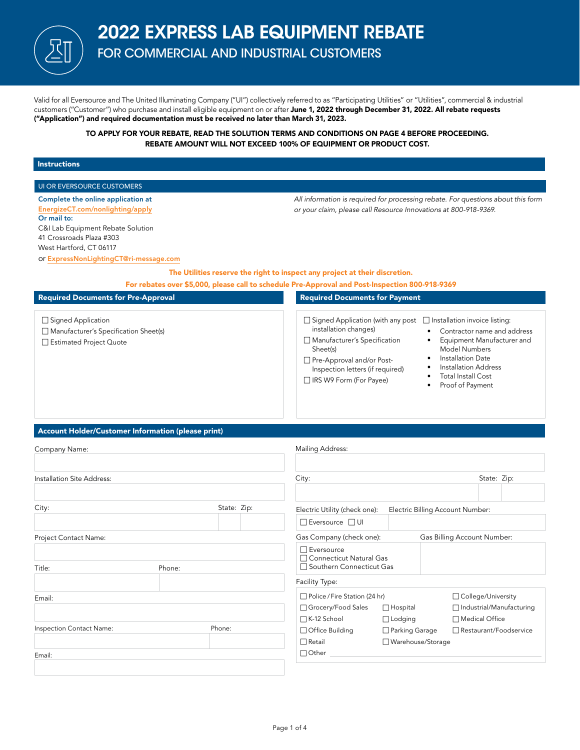

# 2022 EXPRESS LAB EQUIPMENT REBATE FOR COMMERCIAL AND INDUSTRIAL CUSTOMERS

Valid for all Eversource and The United Illuminating Company ("UI") collectively referred to as "Participating Utilities" or "Utilities", commercial & industrial customers ("Customer") who purchase and install eligible equipment on or after June 1, 2022 through December 31, 2022. All rebate requests ("Application") and required documentation must be received no later than March 31, 2023.

> TO APPLY FOR YOUR REBATE, READ THE SOLUTION TERMS AND CONDITIONS ON PAGE 4 BEFORE PROCEEDING. REBATE AMOUNT WILL NOT EXCEED 100% OF EQUIPMENT OR PRODUCT COST.

### Instructions

| UI OR EVERSOURCE CUSTOMERS                                                                                                                                                                                                  |             |                                                                                                                                                                                                             |                                                                                                                                                                                                                                                             |  |
|-----------------------------------------------------------------------------------------------------------------------------------------------------------------------------------------------------------------------------|-------------|-------------------------------------------------------------------------------------------------------------------------------------------------------------------------------------------------------------|-------------------------------------------------------------------------------------------------------------------------------------------------------------------------------------------------------------------------------------------------------------|--|
| Complete the online application at<br>EnergizeCT.com/nonlighting/apply<br>Or mail to:<br>C&I Lab Equipment Rebate Solution<br>41 Crossroads Plaza #303<br>West Hartford, CT 06117<br>or ExpressNonLightingCT@ri-message.com |             | or your claim, please call Resource Innovations at 800-918-9369.<br>The Utilities reserve the right to inspect any project at their discretion.                                                             | All information is required for processing rebate. For questions about this form                                                                                                                                                                            |  |
|                                                                                                                                                                                                                             |             | For rebates over \$5,000, please call to schedule Pre-Approval and Post-Inspection 800-918-9369                                                                                                             |                                                                                                                                                                                                                                                             |  |
| <b>Required Documents for Pre-Approval</b>                                                                                                                                                                                  |             | <b>Required Documents for Payment</b>                                                                                                                                                                       |                                                                                                                                                                                                                                                             |  |
| □ Signed Application<br>Manufacturer's Specification Sheet(s)<br>Estimated Project Quote                                                                                                                                    |             | $\Box$ Signed Application (with any post<br>installation changes)<br>Manufacturer's Specification<br>Sheet(s)<br>Pre-Approval and/or Post-<br>Inspection letters (if required)<br>□ IRS W9 Form (For Payee) | □ Installation invoice listing:<br>Contractor name and address<br>$\bullet$<br>Equipment Manufacturer and<br>$\bullet$<br><b>Model Numbers</b><br>Installation Date<br>٠<br>Installation Address<br><b>Total Install Cost</b><br>٠<br>Proof of Payment<br>٠ |  |
| Account Holder/Customer Information (please print)<br>Company Name:                                                                                                                                                         |             | Mailing Address:                                                                                                                                                                                            |                                                                                                                                                                                                                                                             |  |
| Installation Site Address:                                                                                                                                                                                                  |             | City:                                                                                                                                                                                                       | State: Zip:                                                                                                                                                                                                                                                 |  |
| City:                                                                                                                                                                                                                       | State: Zip: | Electric Utility (check one):<br>$\Box$ Eversource $\Box$ UI                                                                                                                                                | Electric Billing Account Number:                                                                                                                                                                                                                            |  |
| Project Contact Name:                                                                                                                                                                                                       |             | Gas Company (check one):<br>$\Box$ Eversource<br>□ Connecticut Natural Gas                                                                                                                                  | Gas Billing Account Number:                                                                                                                                                                                                                                 |  |
| Title:<br>Phone:                                                                                                                                                                                                            |             | □ Southern Connecticut Gas<br>Facility Type:                                                                                                                                                                |                                                                                                                                                                                                                                                             |  |
| Email:                                                                                                                                                                                                                      |             | Police / Fire Station (24 hr)<br>□ Grocery/Food Sales<br>$\Box$ Hospital<br>□ K-12 School<br>$\Box$ Lodging                                                                                                 | □ College/University<br>□ Industrial/Manufacturing<br>□ Medical Office                                                                                                                                                                                      |  |
| Inspection Contact Name:                                                                                                                                                                                                    | Phone:      | □ Office Building<br>□ Parking Garage<br>□ Warehouse/Storage<br>$\Box$ Retail                                                                                                                               | Restaurant/Foodservice                                                                                                                                                                                                                                      |  |
| Email:                                                                                                                                                                                                                      |             | $\Box$ Other                                                                                                                                                                                                |                                                                                                                                                                                                                                                             |  |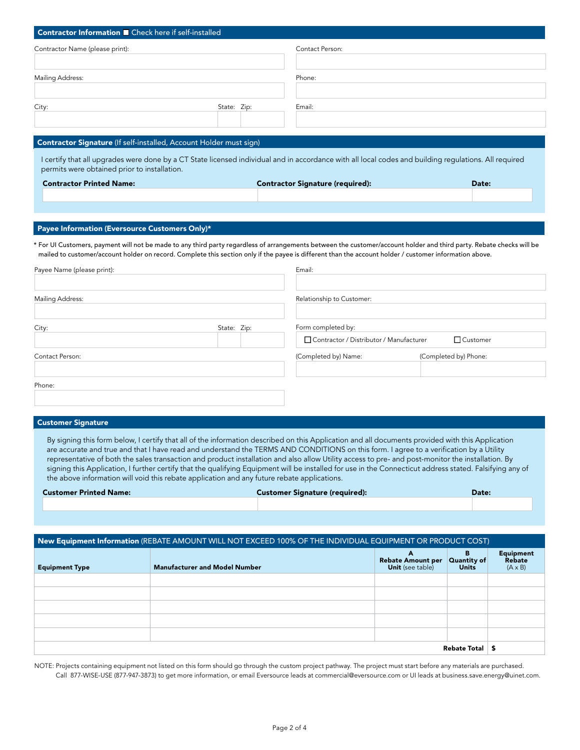| Contractor Information <b>D</b> Check here if self-installed                                                                                                                                                                                                                                                                                                                       |             |                                         |                       |
|------------------------------------------------------------------------------------------------------------------------------------------------------------------------------------------------------------------------------------------------------------------------------------------------------------------------------------------------------------------------------------|-------------|-----------------------------------------|-----------------------|
| Contractor Name (please print):                                                                                                                                                                                                                                                                                                                                                    |             | Contact Person:                         |                       |
|                                                                                                                                                                                                                                                                                                                                                                                    |             |                                         |                       |
| Mailing Address:                                                                                                                                                                                                                                                                                                                                                                   |             | Phone:                                  |                       |
| City:                                                                                                                                                                                                                                                                                                                                                                              | State: Zip: | Email:                                  |                       |
|                                                                                                                                                                                                                                                                                                                                                                                    |             |                                         |                       |
| Contractor Signature (If self-installed, Account Holder must sign)                                                                                                                                                                                                                                                                                                                 |             |                                         |                       |
| I certify that all upgrades were done by a CT State licensed individual and in accordance with all local codes and building regulations. All required<br>permits were obtained prior to installation.                                                                                                                                                                              |             |                                         |                       |
| <b>Contractor Printed Name:</b>                                                                                                                                                                                                                                                                                                                                                    |             | <b>Contractor Signature (required):</b> | Date:                 |
|                                                                                                                                                                                                                                                                                                                                                                                    |             |                                         |                       |
| Payee Information (Eversource Customers Only)*<br>* For UI Customers, payment will not be made to any third party regardless of arrangements between the customer/account holder and third party. Rebate checks will be<br>mailed to customer/account holder on record. Complete this section only if the payee is different than the account holder / customer information above. |             |                                         |                       |
| Payee Name (please print):                                                                                                                                                                                                                                                                                                                                                         |             | Email:                                  |                       |
| Mailing Address:                                                                                                                                                                                                                                                                                                                                                                   |             | Relationship to Customer:               |                       |
| City:                                                                                                                                                                                                                                                                                                                                                                              | State: Zip: | Form completed by:                      |                       |
|                                                                                                                                                                                                                                                                                                                                                                                    |             | Contractor / Distributor / Manufacturer | Customer              |
| Contact Person:                                                                                                                                                                                                                                                                                                                                                                    |             | (Completed by) Name:                    | (Completed by) Phone: |
| Phone:                                                                                                                                                                                                                                                                                                                                                                             |             |                                         |                       |

#### Customer Signature

By signing this form below, I certify that all of the information described on this Application and all documents provided with this Application are accurate and true and that I have read and understand the TERMS AND CONDITIONS on this form. I agree to a verification by a Utility representative of both the sales transaction and product installation and also allow Utility access to pre- and post-monitor the installation. By signing this Application, I further certify that the qualifying Equipment will be installed for use in the Connecticut address stated. Falsifying any of the above information will void this rebate application and any future rebate applications.

| <b>Customer Printed Name:</b> | <b>Customer Signature (required):</b> | Date: |
|-------------------------------|---------------------------------------|-------|
|                               |                                       |       |

| New Equipment Information (REBATE AMOUNT WILL NOT EXCEED 100% OF THE INDIVIDUAL EQUIPMENT OR PRODUCT COST) |                                      |                                                          |                                  |                                              |
|------------------------------------------------------------------------------------------------------------|--------------------------------------|----------------------------------------------------------|----------------------------------|----------------------------------------------|
| <b>Equipment Type</b>                                                                                      | <b>Manufacturer and Model Number</b> | A<br><b>Rebate Amount per</b><br><b>Unit</b> (see table) | в<br>Quantity of<br><b>Units</b> | <b>Equipment</b><br>Rebate<br>$(A \times B)$ |
|                                                                                                            |                                      |                                                          |                                  |                                              |
|                                                                                                            |                                      |                                                          |                                  |                                              |
|                                                                                                            |                                      |                                                          |                                  |                                              |
|                                                                                                            |                                      |                                                          |                                  |                                              |
|                                                                                                            |                                      |                                                          |                                  |                                              |
| Rebate Total                                                                                               |                                      |                                                          | £                                |                                              |

NOTE: Projects containing equipment not listed on this form should go through the custom project pathway. The project must start before any materials are purchased. Call 877-WISE-USE (877-947-3873) to get more information, or email Eversource leads at commercial@eversource.com or UI leads at business.save.energy@uinet.com.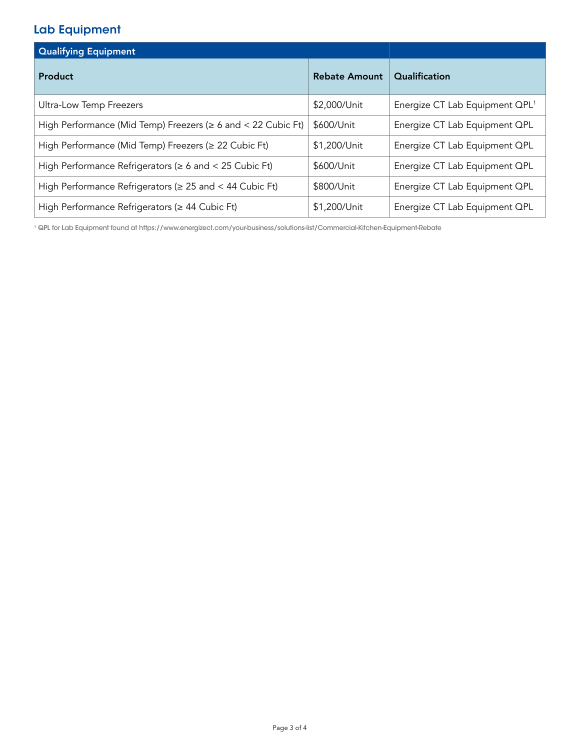## Lab Equipment

| <b>Qualifying Equipment</b>                                        |                      |                                            |
|--------------------------------------------------------------------|----------------------|--------------------------------------------|
| Product                                                            | <b>Rebate Amount</b> | Qualification                              |
| Ultra-Low Temp Freezers                                            | \$2,000/Unit         | Energize CT Lab Equipment QPL <sup>1</sup> |
| High Performance (Mid Temp) Freezers ( $\geq 6$ and < 22 Cubic Ft) | \$600/Unit           | Energize CT Lab Equipment QPL              |
| High Performance (Mid Temp) Freezers (≥ 22 Cubic Ft)               | \$1,200/Unit         | Energize CT Lab Equipment QPL              |
| High Performance Refrigerators ( $\geq 6$ and < 25 Cubic Ft)       | \$600/Unit           | Energize CT Lab Equipment QPL              |
| High Performance Refrigerators ( $\geq 25$ and < 44 Cubic Ft)      | \$800/Unit           | Energize CT Lab Equipment QPL              |
| High Performance Refrigerators ( $\geq 44$ Cubic Ft)               | \$1,200/Unit         | Energize CT Lab Equipment QPL              |

1 QPL for Lab Equipment found at https://www.energizect.com/your-business/solutions-list/Commercial-Kitchen-Equipment-Rebate